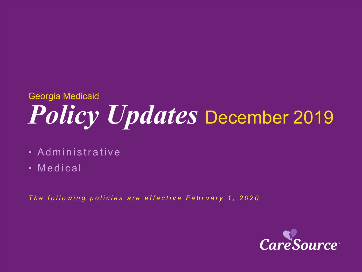# *Policy Updates* December 2019 Georgia Medicaid

- Administrative
- Medical

*The following policies are effective February 1, 2020*

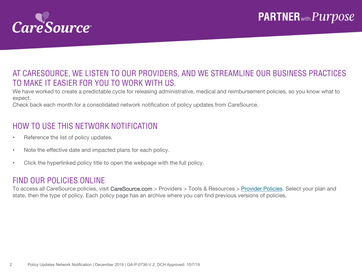

#### AT CARESOURCE, WE LISTEN TO OUR PROVIDERS, AND WE STREAMLINE OUR BUSINESS PRACTICES TO MAKE IT EASIER FOR YOU TO WORK WITH US.

We have worked to create a predictable cycle for releasing administrative, medical and reimbursement policies, so you know what to expect.

Check back each month for a consolidated network notification of policy updates from CareSource.

### HOW TO USE THIS NETWORK NOTIFICATION

- Reference the list of policy updates.
- Note the effective date and impacted plans for each policy.
- Click the hyperlinked policy title to open the webpage with the full policy.

#### FIND OUR POLICIES ONLINE

To access all CareSource policies, visit CareSource.com > Providers > Tools & Resources > [Provider Policies.](https://www.caresource.com/providers/tools-resources/health-partner-policies/) Select your plan and state, then the type of policy. Each policy page has an archive where you can find previous versions of policies.